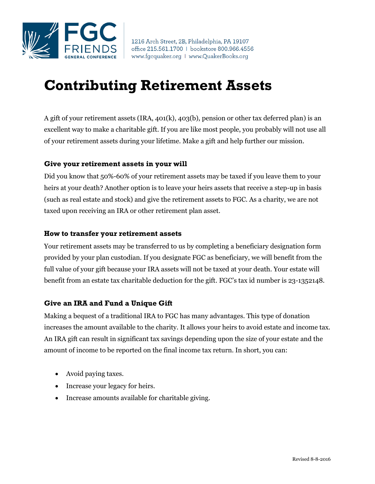

## **Contributing Retirement Assets**

A gift of your retirement assets (IRA, 401(k), 403(b), pension or other tax deferred plan) is an excellent way to make a charitable gift. If you are like most people, you probably will not use all of your retirement assets during your lifetime. Make a gift and help further our mission.

## **Give your retirement assets in your will**

Did you know that 50%-60% of your retirement assets may be taxed if you leave them to your heirs at your death? Another option is to leave your heirs assets that receive a step-up in basis (such as real estate and stock) and give the retirement assets to FGC. As a charity, we are not taxed upon receiving an IRA or other retirement plan asset.

## **How to transfer your retirement assets**

Your retirement assets may be transferred to us by completing a beneficiary designation form provided by your plan custodian. If you designate FGC as beneficiary, we will benefit from the full value of your gift because your IRA assets will not be taxed at your death. Your estate will benefit from an estate tax charitable deduction for the gift. FGC's tax id number is 23-1352148.

## **Give an IRA and Fund a Unique Gift**

Making a bequest of a traditional IRA to FGC has many advantages. This type of donation increases the amount available to the charity. It allows your heirs to avoid estate and income tax. An IRA gift can result in significant tax savings depending upon the size of your estate and the amount of income to be reported on the final income tax return. In short, you can:

- Avoid paying taxes.
- Increase your legacy for heirs.
- Increase amounts available for charitable giving.